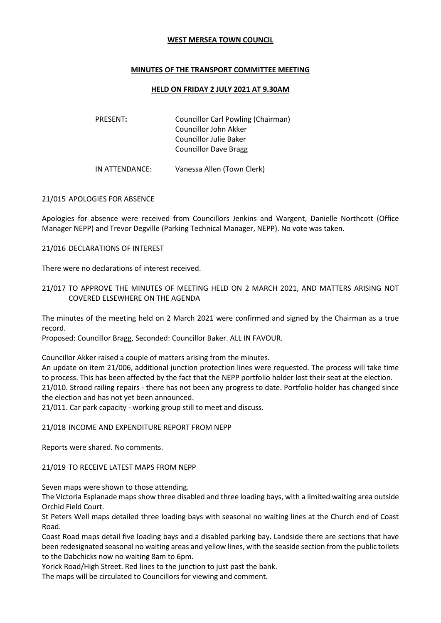### **WEST MERSEA TOWN COUNCIL**

## **MINUTES OF THE TRANSPORT COMMITTEE MEETING**

### **HELD ON FRIDAY 2 JULY 2021 AT 9.30AM**

| <b>PRESENT:</b> | Councillor Carl Powling (Chairman) |
|-----------------|------------------------------------|
|                 | Councillor John Akker              |
|                 | Councillor Julie Baker             |
|                 | <b>Councillor Dave Bragg</b>       |
|                 |                                    |

IN ATTENDANCE: Vanessa Allen (Town Clerk)

### 21/015 APOLOGIES FOR ABSENCE

Apologies for absence were received from Councillors Jenkins and Wargent, Danielle Northcott (Office Manager NEPP) and Trevor Degville (Parking Technical Manager, NEPP). No vote was taken.

#### 21/016 DECLARATIONS OF INTEREST

There were no declarations of interest received.

## 21/017 TO APPROVE THE MINUTES OF MEETING HELD ON 2 MARCH 2021, AND MATTERS ARISING NOT COVERED ELSEWHERE ON THE AGENDA

The minutes of the meeting held on 2 March 2021 were confirmed and signed by the Chairman as a true record.

Proposed: Councillor Bragg, Seconded: Councillor Baker. ALL IN FAVOUR.

Councillor Akker raised a couple of matters arising from the minutes.

An update on item 21/006, additional junction protection lines were requested. The process will take time to process. This has been affected by the fact that the NEPP portfolio holder lost their seat at the election. 21/010. Strood railing repairs - there has not been any progress to date. Portfolio holder has changed since the election and has not yet been announced.

21/011. Car park capacity - working group still to meet and discuss.

### 21/018 INCOME AND EXPENDITURE REPORT FROM NEPP

Reports were shared. No comments.

### 21/019 TO RECEIVE LATEST MAPS FROM NEPP

Seven maps were shown to those attending.

The Victoria Esplanade maps show three disabled and three loading bays, with a limited waiting area outside Orchid Field Court.

St Peters Well maps detailed three loading bays with seasonal no waiting lines at the Church end of Coast Road.

Coast Road maps detail five loading bays and a disabled parking bay. Landside there are sections that have been redesignated seasonal no waiting areas and yellow lines, with the seaside section from the public toilets to the Dabchicks now no waiting 8am to 6pm.

Yorick Road/High Street. Red lines to the junction to just past the bank.

The maps will be circulated to Councillors for viewing and comment.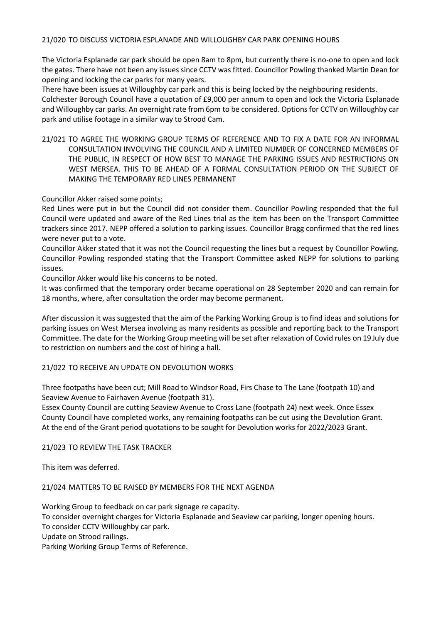The Victoria Esplanade car park should be open 8am to 8pm, but currently there is no-one to open and lock the gates. There have not been any issues since CCTV was fitted. Councillor Powling thanked Martin Dean for opening and locking the car parks for many years.

There have been issues at Willoughby car park and this is being locked by the neighbouring residents. Colchester Borough Council have a quotation of £9,000 per annum to open and lock the Victoria Esplanade and Willoughby car parks. An overnight rate from 6pm to be considered. Options for CCTV on Willoughby car park and utilise footage in a similar way to Strood Cam.

21/021 TO AGREE THE WORKING GROUP TERMS OF REFERENCE AND TO FIX A DATE FOR AN INFORMAL CONSULTATION INVOLVING THE COUNCIL AND A LIMITED NUMBER OF CONCERNED MEMBERS OF THE PUBLIC, IN RESPECT OF HOW BEST TO MANAGE THE PARKING ISSUES AND RESTRICTIONS ON WEST MERSEA. THIS TO BE AHEAD OF A FORMAL CONSULTATION PERIOD ON THE SUBJECT OF MAKING THE TEMPORARY RED LINES PERMANENT

# Councillor Akker raised some points;

Red Lines were put in but the Council did not consider them. Councillor Powling responded that the full Council were updated and aware of the Red Lines trial as the item has been on the Transport Committee trackers since 2017. NEPP offered a solution to parking issues. Councillor Bragg confirmed that the red lines were never put to a vote.

Councillor Akker stated that it was not the Council requesting the lines but a request by Councillor Powling. Councillor Powling responded stating that the Transport Committee asked NEPP for solutions to parking issues.

Councillor Akker would like his concerns to be noted.

It was confirmed that the temporary order became operational on 28 September 2020 and can remain for 18 months, where, after consultation the order may become permanent.

After discussion it was suggested that the aim of the Parking Working Group is to find ideas and solutions for parking issues on West Mersea involving as many residents as possible and reporting back to the Transport Committee. The date for the Working Group meeting will be set after relaxation of Covid rules on 19 July due to restriction on numbers and the cost of hiring a hall.

# 21/022 TO RECEIVE AN UPDATE ON DEVOLUTION WORKS

Three footpaths have been cut; Mill Road to Windsor Road, Firs Chase to The Lane (footpath 10) and Seaview Avenue to Fairhaven Avenue (footpath 31).

Essex County Council are cutting Seaview Avenue to Cross Lane (footpath 24) next week. Once Essex County Council have completed works, any remaining footpaths can be cut using the Devolution Grant. At the end of the Grant period quotations to be sought for Devolution works for 2022/2023 Grant.

### 21/023 TO REVIEW THE TASK TRACKER

This item was deferred.

### 21/024 MATTERS TO BE RAISED BY MEMBERS FOR THE NEXT AGENDA

Working Group to feedback on car park signage re capacity. To consider overnight charges for Victoria Esplanade and Seaview car parking, longer opening hours. To consider CCTV Willoughby car park. Update on Strood railings. Parking Working Group Terms of Reference.